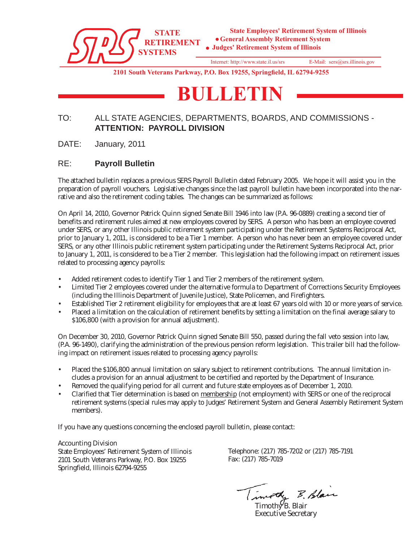

Internet: http://www.state.il.us/srs E-Mail: sers@srs.illinois.gov

**2101 South Veterans Parkway, P.O. Box 19255, Springfield, IL 62794-9255**

# **BULLETIN**

# TO: ALL STATE AGENCIES, DEPARTMENTS, BOARDS, AND COMMISSIONS - **ATTENTION: PAYROLL DIVISION**

DATE: January, 2011

# RE: **Payroll Bulletin**

The attached bulletin replaces a previous SERS Payroll Bulletin dated February 2005. We hope it will assist you in the preparation of payroll vouchers. Legislative changes since the last payroll bulletin have been incorporated into the narrative and also the retirement coding tables. The changes can be summarized as follows:

On April 14, 2010, Governor Patrick Quinn signed Senate Bill 1946 into law (P.A. 96-0889) creating a second tier of benefits and retirement rules aimed at new employees covered by SERS. A person who has been an employee covered under SERS, or any other Illinois public retirement system participating under the Retirement Systems Reciprocal Act, prior to January 1, 2011, is considered to be a Tier 1 member. A person who has never been an employee covered under SERS, or any other Illinois public retirement system participating under the Retirement Systems Reciprocal Act, prior to January 1, 2011, is considered to be a Tier 2 member. This legislation had the following impact on retirement issues related to processing agency payrolls:

- Added retirement codes to identify Tier 1 and Tier 2 members of the retirement system.
- Limited Tier 2 employees covered under the alternative formula to Department of Corrections Security Employees (including the Illinois Department of Juvenile Justice), State Policemen, and Firefighters.
- Established Tier 2 retirement eligibility for employees that are at least 67 years old with 10 or more years of service.
- Placed a limitation on the calculation of retirement benefits by setting a limitation on the final average salary to \$106,800 (with a provision for annual adjustment).

On December 30, 2010, Governor Patrick Quinn signed Senate Bill 550, passed during the fall veto session into law, (P.A. 96-1490), clarifying the administration of the previous pension reform legislation. This trailer bill had the following impact on retirement issues related to processing agency payrolls:

- Placed the \$106,800 annual limitation on salary subject to retirement contributions. The annual limitation includes a provision for an annual adjustment to be certified and reported by the Department of Insurance.
- Removed the qualifying period for all current and future state employees as of December 1, 2010.
- Clarified that Tier determination is based on membership (not employment) with SERS or one of the reciprocal retirement systems (special rules may apply to Judges' Retirement System and General Assembly Retirement System members).

If you have any questions concerning the enclosed payroll bulletin, please contact:

Accounting Division State Employees' Retirement System of Illinois 2101 South Veterans Parkway, P.O. Box 19255 Springfield, Illinois 62794-9255

Telephone: (217) 785-7202 or (217) 785-7191 Fax: (217) 785-7019

other B. Blan

 $T$ imoth $\sqrt{B}$ . Blair Executive Secretary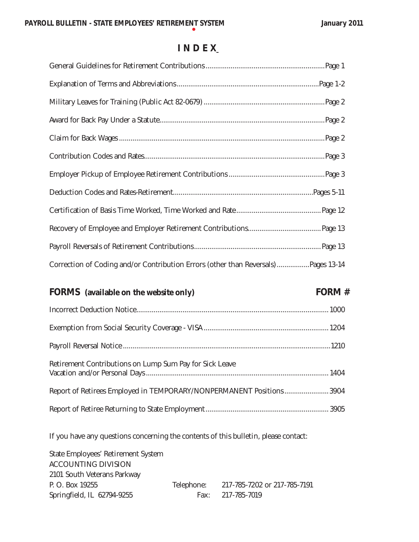# **I N D E X**

| Correction of Coding and/or Contribution Errors (other than Reversals)Pages 13-14 |
|-----------------------------------------------------------------------------------|
| FORM $#$<br><b>FORMS</b> (available on the website only)                          |
|                                                                                   |
|                                                                                   |
|                                                                                   |
| Retirement Contributions on Lump Sum Pay for Sick Leave                           |
| Report of Retirees Employed in TEMPORARY/NONPERMANENT Positions3904               |

Report of Retiree Returning to State Employment................................................................ 3905

If you have any questions concerning the contents of this bulletin, please contact:

State Employees' Retirement System ACCOUNTING DIVISION 2101 South Veterans Parkway P. O. Box 19255 Telephone: 217-785-7202 or 217-785-7191 Springfield, IL 62794-9255 Fax: 217-785-7019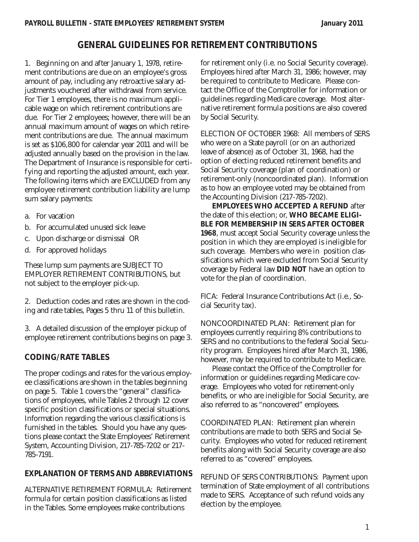# **GENERAL GUIDELINES FOR RETIREMENT CONTRIBUTIONS**

1. Beginning on and after January 1, 1978, retirement contributions are due on an employee's gross amount of pay, including any retroactive salary adjustments vouchered after withdrawal from service. For Tier 1 employees, there is no maximum applicable wage on which retirement contributions are due. For Tier 2 employees; however, there will be an annual maximum amount of wages on which retirement contributions are due. The annual maximum is set as \$106,800 for calendar year 2011 and will be adjusted annually based on the provision in the law. The Department of Insurance is responsible for certifying and reporting the adjusted amount, each year. The following items which are EXCLUDED from any employee retirement contribution liability are lump sum salary payments:

- a. For vacation
- b. For accumulated unused sick leave
- c. Upon discharge or dismissal OR
- d. For approved holidays

These lump sum payments are SUBJECT TO EMPLOYER RETIREMENT CONTRIBUTIONS, but not subject to the employer pick-up.

2. Deduction codes and rates are shown in the coding and rate tables, Pages 5 thru 11 of this bulletin.

3. A detailed discussion of the employer pickup of employee retirement contributions begins on page 3.

# **CODING/RATE TABLES**

The proper codings and rates for the various employee classifications are shown in the tables beginning on page 5. Table 1 covers the "general" classifications of employees, while Tables 2 through 12 cover specific position classifications or special situations. Information regarding the various classifications is furnished in the tables. Should you have any questions please contact the State Employees' Retirement System, Accounting Division, 217-785-7202 or 217- 785-7191.

# **EXPLANATION OF TERMS AND ABBREVIATIONS**

ALTERNATIVE RETIREMENT FORMULA: Retirement formula for certain position classifications as listed in the Tables. Some employees make contributions

for retirement only (i.e. no Social Security coverage). Employees hired after March 31, 1986; however, may be required to contribute to Medicare. Please contact the Office of the Comptroller for information or guidelines regarding Medicare coverage. Most alternative retirement formula positions are also covered by Social Security.

ELECTION OF OCTOBER 1968: All members of SERS who were on a State payroll (or on an authorized leave of absence) as of October 31, 1968, had the option of electing reduced retirement benefits and Social Security coverage (plan of coordination) or retirement-only (noncoordinated plan). Information as to how an employee voted may be obtained from the Accounting Division (217-785-7202).

*EMPLOYEES WHO ACCEPTED A REFUND* after the date of this election; or, *WHO BECAME ELIGI-BLE FOR MEMBERSHIP IN SERS AFTER OCTOBER 1968*, must accept Social Security coverage unless the position in which they are employed is ineligible for such coverage. Members who were in position classifications which were excluded from Social Security coverage by Federal law *DID NOT* have an option to vote for the plan of coordination.

FICA: Federal Insurance Contributions Act (i.e., Social Security tax).

NONCOORDINATED PLAN: Retirement plan for employees currently requiring 8% contributions to SERS and no contributions to the federal Social Security program. Employees hired after March 31, 1986, however, may be required to contribute to Medicare.

Please contact the Office of the Comptroller for information or guidelines regarding Medicare coverage. Employees who voted for retirement-only benefits, or who are ineligible for Social Security, are also referred to as "noncovered" employees.

COORDINATED PLAN: Retirement plan wherein contributions are made to both SERS and Social Security. Employees who voted for reduced retirement benefits along with Social Security coverage are also referred to as "covered" employees.

REFUND OF SERS CONTRIBUTIONS: Payment upon termination of State employment of all contributions made to SERS. Acceptance of such refund voids any election by the employee.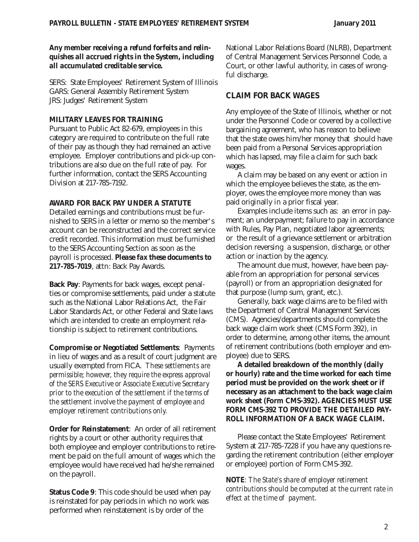#### *Any member receiving a refund forfeits and relinquishes all accrued rights in the System, including all accumulated creditable service.*

SERS: State Employees' Retirement System of Illinois GARS: General Assembly Retirement System JRS: Judges' Retirement System

#### **MILITARY LEAVES FOR TRAINING**

Pursuant to Public Act 82-679, employees in this category are required to contribute on the full rate of their pay as though they had remained an active employee. Employer contributions and pick-up contributions are also due on the full rate of pay. For further information, contact the SERS Accounting Division at 217-785-7192.

## **AWARD FOR BACK PAY UNDER A STATUTE**

Detailed earnings and contributions must be furnished to SERS in a letter or memo so the member's account can be reconstructed and the correct service credit recorded. This information must be furnished to the SERS Accounting Section as soon as the payroll is processed. *Please fax these documents to 217-785-7019*, attn: Back Pay Awards.

**Back Pay**: Payments for back wages, except penalties or compromise settlements, paid under a statute such as the National Labor Relations Act, the Fair Labor Standards Act, or other Federal and State laws which are intended to create an employment relationship is subject to retirement contributions.

**Compromise or Negotiated Settlements**: Payments in lieu of wages and as a result of court judgment are usually exempted from FICA. *These settlements are permissible; however, they require the express approval of the SERS Executive or Associate Executive Secretary prior to the execution of the settlement if the terms of the settlement involve the payment of employee and employer retirement contributions only.*

**Order for Reinstatement**: An order of all retirement rights by a court or other authority requires that both employee and employer contributions to retirement be paid on the full amount of wages which the employee would have received had he/she remained on the payroll.

**Status Code 9**: This code should be used when pay is reinstated for pay periods in which no work was performed when reinstatement is by order of the

National Labor Relations Board (NLRB), Department of Central Management Services Personnel Code, a Court, or other lawful authority, in cases of wrongful discharge.

# **CLAIM FOR BACK WAGES**

Any employee of the State of Illinois, whether or not under the Personnel Code or covered by a collective bargaining agreement, who has reason to believe that the state owes him/her money that should have been paid from a Personal Services appropriation which has lapsed, may file a claim for such back wages.

A claim may be based on any event or action in which the employee believes the state, as the employer, owes the employee more money than was paid originally in a prior fiscal year.

Examples include items such as: an error in payment; an underpayment; failure to pay in accordance with Rules, Pay Plan, negotiated labor agreements; or the result of a grievance settlement or arbitration decision reversing a suspension, discharge, or other action or inaction by the agency.

The amount due must, however, have been payable from an appropriation for personal services (payroll) or from an appropriation designated for that purpose (lump sum, grant, etc.).

Generally, back wage claims are to be filed with the Department of Central Management Services (CMS). Agencies/departments should complete the back wage claim work sheet (CMS Form 392), in order to determine, among other items, the amount of retirement contributions (both employer and employee) due to SERS.

**A detailed breakdown of the monthly (daily or hourly) rate and the time worked for each time period must be provided on the work sheet or if necessary as an attachment to the back wage claim work sheet (Form CMS-392).** *AGENCIES MUST USE FORM CMS-392 TO PROVIDE THE DETAILED PAY-ROLL INFORMATION OF A BACK WAGE CLAIM.* 

Please contact the State Employees' Retirement System at 217-785-7228 if you have any questions regarding the retirement contribution (either employer or employee) portion of Form CMS-392.

*NOTE: The State's share of employer retirement contributions should be computed at the current rate in effect at the time of payment.*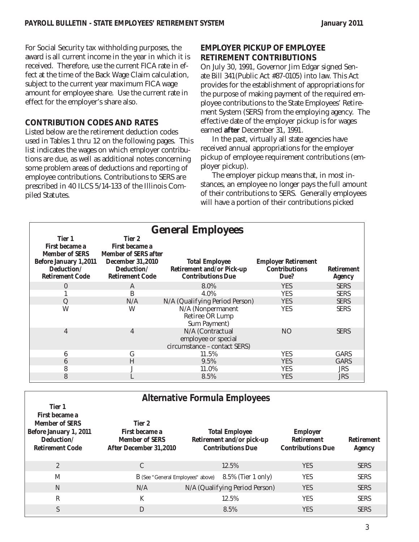For Social Security tax withholding purposes, the award is all current income in the year in which it is received. Therefore, use the current FICA rate in effect at the time of the Back Wage Claim calculation, subject to the current year maximum FICA wage amount for employee share. Use the current rate in effect for the employer's share also.

## **CONTRIBUTION CODES AND RATES**

Listed below are the retirement deduction codes used in Tables 1 thru 12 on the following pages. This list indicates the wages on which employer contributions are due, as well as additional notes concerning some problem areas of deductions and reporting of employee contributions. Contributions to SERS are prescribed in 40 ILCS 5/14-133 of the Illinois Compiled Statutes.

# **EMPLOYER PICKUP OF EMPLOYEE RETIREMENT CONTRIBUTIONS**

On July 30, 1991, Governor Jim Edgar signed Senate Bill 341(Public Act #87-0105) into law. This Act provides for the establishment of appropriations for the purpose of making payment of the required employee contributions to the State Employees' Retirement System (SERS) from the employing agency. The effective date of the employer pickup is for wages earned **after** December 31, 1991.

In the past, virtually all state agencies have received annual appropriations for the employer pickup of employee requirement contributions (employer pickup).

The employer pickup means that, in most instances, an employee no longer pays the full amount of their contributions to SERS. Generally employees will have a portion of their contributions picked

|                                                                                                                           | <b>General Employees</b>                                                                                                   |                                                                                       |                                                            |                                    |  |
|---------------------------------------------------------------------------------------------------------------------------|----------------------------------------------------------------------------------------------------------------------------|---------------------------------------------------------------------------------------|------------------------------------------------------------|------------------------------------|--|
| Tier 1<br>First became a<br><b>Member of SERS</b><br><b>Before January 1,2011</b><br>Deduction/<br><b>Retirement Code</b> | Tier 2<br>First became a<br><b>Member of SERS after</b><br><b>December 31,2010</b><br>Deduction/<br><b>Retirement Code</b> | <b>Total Employee</b><br><b>Retirement and/or Pick-up</b><br><b>Contributions Due</b> | <b>Employer Retirement</b><br><b>Contributions</b><br>Due? | <b>Retirement</b><br><b>Agency</b> |  |
| $\theta$                                                                                                                  | A                                                                                                                          | 8.0%                                                                                  | <b>YES</b>                                                 | <b>SERS</b>                        |  |
|                                                                                                                           | B                                                                                                                          | 4.0%                                                                                  | <b>YES</b>                                                 | <b>SERS</b>                        |  |
| Q                                                                                                                         | N/A                                                                                                                        | N/A (Qualifying Period Person)                                                        | <b>YES</b>                                                 | <b>SERS</b>                        |  |
| W                                                                                                                         | W                                                                                                                          | N/A (Nonpermanent<br>Retiree OR Lump<br>Sum Payment)                                  | <b>YES</b>                                                 | <b>SERS</b>                        |  |
| 4                                                                                                                         | 4                                                                                                                          | N/A (Contractual<br>employee or special<br>circumstance - contact SERS)               | NO.                                                        | <b>SERS</b>                        |  |
| 6                                                                                                                         | G                                                                                                                          | 11.5%                                                                                 | <b>YES</b>                                                 | <b>GARS</b>                        |  |
| 6                                                                                                                         | H                                                                                                                          | 9.5%                                                                                  | <b>YES</b>                                                 | <b>GARS</b>                        |  |
| 8                                                                                                                         |                                                                                                                            | 11.0%                                                                                 | <b>YES</b>                                                 | JRS                                |  |
| 8                                                                                                                         |                                                                                                                            | 8.5%                                                                                  | <b>YES</b>                                                 | <b>JRS</b>                         |  |

| <b>Alternative Formula Employees</b>                                                                                |                                                                                                                                                               |                                |                                                                  |                                    |  |
|---------------------------------------------------------------------------------------------------------------------|---------------------------------------------------------------------------------------------------------------------------------------------------------------|--------------------------------|------------------------------------------------------------------|------------------------------------|--|
| Tier 1<br>First became a<br><b>Member of SERS</b><br>Before January 1, 2011<br>Deduction/<br><b>Retirement Code</b> | Tier 2<br>First became a<br><b>Total Employee</b><br>Retirement and/or pick-up<br><b>Member of SERS</b><br><b>Contributions Due</b><br>After December 31,2010 |                                | <b>Employer</b><br><b>Retirement</b><br><b>Contributions Due</b> | <b>Retirement</b><br><b>Agency</b> |  |
| $\mathbf{2}$                                                                                                        | C                                                                                                                                                             | 12.5%                          | <b>YES</b>                                                       | <b>SERS</b>                        |  |
| M                                                                                                                   | B (See "General Employees" above)                                                                                                                             | $8.5\%$ (Tier 1 only)          | YES                                                              | <b>SERS</b>                        |  |
| N                                                                                                                   | N/A                                                                                                                                                           | N/A (Qualifying Period Person) | <b>YES</b>                                                       | <b>SERS</b>                        |  |
| R                                                                                                                   | K                                                                                                                                                             | 12.5%                          | <b>YES</b>                                                       | <b>SERS</b>                        |  |
| S                                                                                                                   | D                                                                                                                                                             | 8.5%                           | <b>YES</b>                                                       | <b>SERS</b>                        |  |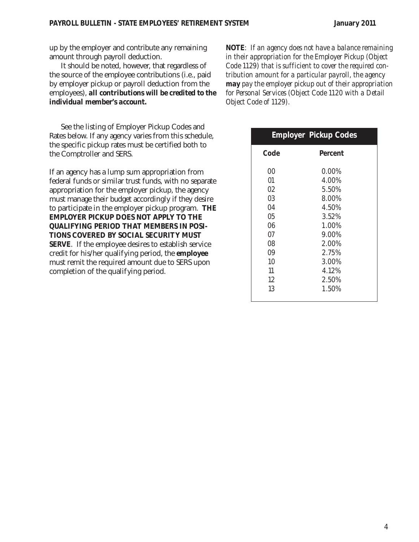up by the employer and contribute any remaining amount through payroll deduction.

It should be noted, however, that regardless of the source of the employee contributions (i.e., paid by employer pickup or payroll deduction from the employees), *all contributions will be credited to the individual member's account.*

See the listing of Employer Pickup Codes and Rates below. If any agency varies from this schedule, the specific pickup rates must be certified both to the Comptroller and SERS.

If an agency has a lump sum appropriation from federal funds or similar trust funds, with no separate appropriation for the employer pickup, the agency must manage their budget accordingly if they desire to participate in the employer pickup program. *THE EMPLOYER PICKUP DOES NOT APPLY TO THE QUALIFYING PERIOD THAT MEMBERS IN POSI-TIONS COVERED BY SOCIAL SECURITY MUST SERVE*. If the employee desires to establish service credit for his/her qualifying period, the **employee** must remit the required amount due to SERS upon completion of the qualifying period.

*NOTE: If an agency does not have a balance remaining in their appropriation for the Employer Pickup (Object Code 1129) that is sufficient to cover the required contribution amount for a particular payroll, the agency may pay the employer pickup out of their appropriation for Personal Services (Object Code 1120 with a Detail Object Code of 1129).*

|                                                                            | <b>Employer Pickup Codes</b>                                                                                         |
|----------------------------------------------------------------------------|----------------------------------------------------------------------------------------------------------------------|
| Code                                                                       | Percent                                                                                                              |
| 00<br>01<br>02<br>03<br>04<br>05<br>06<br>07<br>08<br>09<br>10<br>11<br>12 | $0.00\%$<br>4.00%<br>5.50%<br>8.00%<br>4.50%<br>3.52%<br>1.00%<br>9.00%<br>2.00%<br>2.75%<br>3.00%<br>4.12%<br>2.50% |
| 13                                                                         | 1.50%                                                                                                                |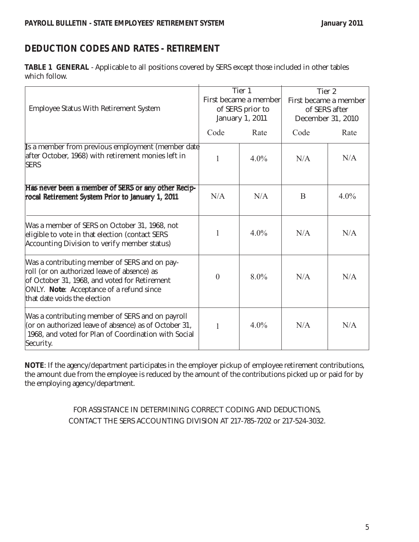**TABLE 1 GENERAL** - Applicable to all positions covered by SERS except those included in other tables which follow.

| <b>Employee Status With Retirement System</b>                                                                                                                                                                             | Tier 1<br>First became a member<br>of SERS prior to<br>January 1, 2011 |         | Tier 2<br>First became a member<br>of SERS after<br>December 31, 2010 |         |
|---------------------------------------------------------------------------------------------------------------------------------------------------------------------------------------------------------------------------|------------------------------------------------------------------------|---------|-----------------------------------------------------------------------|---------|
|                                                                                                                                                                                                                           | Code                                                                   | Rate    | Code                                                                  | Rate    |
| Is a member from previous employment (member date<br>after October, 1968) with retirement monies left in<br><b>SERS</b>                                                                                                   | $\mathbf{1}$                                                           | $4.0\%$ | N/A                                                                   | N/A     |
| Has never been a member of SERS or any other Recip-<br>rocal Retirement System Prior to January 1, 2011                                                                                                                   | N/A                                                                    | N/A     | B                                                                     | $4.0\%$ |
| Was a member of SERS on October 31, 1968, not<br>eligible to vote in that election (contact SERS<br>Accounting Division to verify member status)                                                                          | 1                                                                      | $4.0\%$ | N/A                                                                   | N/A     |
| Was a contributing member of SERS and on pay-<br>roll (or on authorized leave of absence) as<br>of October 31, 1968, and voted for Retirement<br>ONLY. Note: Acceptance of a refund since<br>that date voids the election | $\theta$                                                               | $8.0\%$ | N/A                                                                   | N/A     |
| Was a contributing member of SERS and on payroll<br>(or on authorized leave of absence) as of October 31,<br>1968, and voted for Plan of Coordination with Social<br>Security.                                            | 1                                                                      | $4.0\%$ | N/A                                                                   | N/A     |

**NOTE**: If the agency/department participates in the employer pickup of employee retirement contributions, the amount due from the employee is reduced by the amount of the contributions picked up or paid for by the employing agency/department.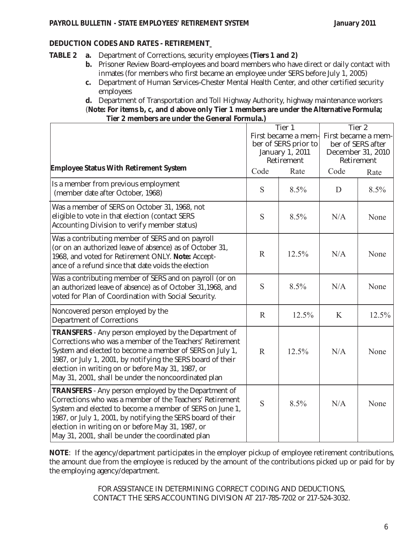- **TABLE 2 a.** Department of Corrections, security employees **(Tiers 1 and 2)**
	- **b.** Prisoner Review Board–employees and board members who have direct or daily contact with inmates (for members who first became an employee under SERS before July 1, 2005)
	- **c.** Department of Human Services–Chester Mental Health Center, and other certified security employees

**d.** Department of Transportation and Toll Highway Authority, highway maintenance workers (**Note: For items b, c, and d above only Tier 1 members are under the Alternative Formula; Tier 2 members are under the General Formula.)**

|                                                                                                                                                                                                                                                                                                                                                                 | Tier 1<br>First became a mem-<br>ber of SERS prior to<br>January 1, 2011<br>Retirement |       | Tier 2<br>First became a mem-<br>ber of SERS after<br>December 31, 2010<br>Retirement |       |
|-----------------------------------------------------------------------------------------------------------------------------------------------------------------------------------------------------------------------------------------------------------------------------------------------------------------------------------------------------------------|----------------------------------------------------------------------------------------|-------|---------------------------------------------------------------------------------------|-------|
| <b>Employee Status With Retirement System</b>                                                                                                                                                                                                                                                                                                                   | Code                                                                                   | Rate  | Code                                                                                  | Rate  |
| Is a member from previous employment<br>(member date after October, 1968)                                                                                                                                                                                                                                                                                       | S                                                                                      | 8.5%  | D                                                                                     | 8.5%  |
| Was a member of SERS on October 31, 1968, not<br>eligible to vote in that election (contact SERS<br>Accounting Division to verify member status)                                                                                                                                                                                                                | S                                                                                      | 8.5%  | N/A                                                                                   | None  |
| Was a contributing member of SERS and on payroll<br>(or on an authorized leave of absence) as of October 31,<br>1968, and voted for Retirement ONLY. Note: Accept-<br>ance of a refund since that date voids the election                                                                                                                                       | $\mathbf R$                                                                            | 12.5% | N/A                                                                                   | None  |
| Was a contributing member of SERS and on payroll (or on<br>an authorized leave of absence) as of October 31,1968, and<br>voted for Plan of Coordination with Social Security.                                                                                                                                                                                   | S                                                                                      | 8.5%  | N/A                                                                                   | None  |
| Noncovered person employed by the<br><b>Department of Corrections</b>                                                                                                                                                                                                                                                                                           | $\mathbf R$                                                                            | 12.5% | K                                                                                     | 12.5% |
| <b>TRANSFERS</b> - Any person employed by the Department of<br>Corrections who was a member of the Teachers' Retirement<br>System and elected to become a member of SERS on July 1,<br>1987, or July 1, 2001, by notifying the SERS board of their<br>election in writing on or before May 31, 1987, or<br>May 31, 2001, shall be under the noncoordinated plan | $\mathbb{R}$                                                                           | 12.5% | N/A                                                                                   | None  |
| <b>TRANSFERS</b> - Any person employed by the Department of<br>Corrections who was a member of the Teachers' Retirement<br>System and elected to become a member of SERS on June 1,<br>1987, or July 1, 2001, by notifying the SERS board of their<br>election in writing on or before May 31, 1987, or<br>May 31, 2001, shall be under the coordinated plan    | S                                                                                      | 8.5%  | N/A                                                                                   | None  |

**NOTE**: If the agency/department participates in the employer pickup of employee retirement contributions, the amount due from the employee is reduced by the amount of the contributions picked up or paid for by the employing agency/department.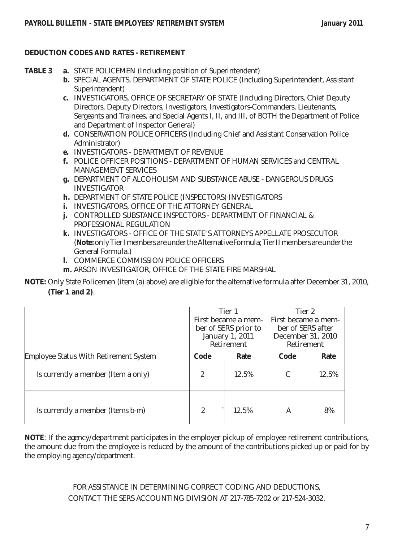- **TABLE 3 a.** STATE POLICEMEN (Including position of Superintendent)
	- **b.** SPECIAL AGENTS, DEPARTMENT OF STATE POLICE (Including Superintendent, Assistant Superintendent)
	- **c.** INVESTIGATORS, OFFICE OF SECRETARY OF STATE (Including Directors, Chief Deputy Directors, Deputy Directors, Investigators, Investigators-Commanders, Lieutenants, Sergeants and Trainees, and Special Agents I, II, and III, of BOTH the Department of Police and Department of Inspector General)
	- **d.** CONSERVATION POLICE OFFICERS (Including Chief and Assistant Conservation Police Administrator)
	- **e.** INVESTIGATORS DEPARTMENT OF REVENUE
	- **f.** POLICE OFFICER POSITIONS DEPARTMENT OF HUMAN SERVICES and CENTRAL MANAGEMENT SERVICES
	- **g.** DEPARTMENT OF ALCOHOLISM AND SUBSTANCE ABUSE DANGEROUS DRUGS INVESTIGATOR
	- **h.** DEPARTMENT OF STATE POLICE (INSPECTORS) INVESTIGATORS
	- **i.** INVESTIGATORS, OFFICE OF THE ATTORNEY GENERAL
	- **j.** CONTROLLED SUBSTANCE INSPECTORS DEPARTMENT OF FINANCIAL & PROFESSIONAL REGULATION
	- **k.** INVESTIGATORS OFFICE OF THE STATE'S ATTORNEYS APPELLATE PROSECUTOR (**Note:** only Tier I members are under the Alternative Formula; Tier II members are under the General Formula.)
	- **l.** COMMERCE COMMISSION POLICE OFFICERS
	- **m.** ARSON INVESTIGATOR, OFFICE OF THE STATE FIRE MARSHAL

**NOTE:** Only State Policemen (item (a) above) are eligible for the alternative formula after December 31, 2010, **(Tier 1 and 2)**.

|                                               | Tier 1<br>First became a mem-<br>ber of SERS prior to<br>January 1, 2011<br>Retirement |       | Tier 2<br>First became a mem-<br>ber of SERS after<br>December 31, 2010<br>Retirement |       |
|-----------------------------------------------|----------------------------------------------------------------------------------------|-------|---------------------------------------------------------------------------------------|-------|
| <b>Employee Status With Retirement System</b> | Code<br>Rate                                                                           |       | Code                                                                                  | Rate  |
| Is currently a member (Item a only)           | $\boldsymbol{2}$                                                                       | 12.5% | C                                                                                     | 12.5% |
| Is currently a member (Items b-m)             | $\overline{2}$                                                                         | 12.5% | A                                                                                     | 8%    |

**NOTE**: If the agency/department participates in the employer pickup of employee retirement contributions, the amount due from the employee is reduced by the amount of the contributions picked up or paid for by the employing agency/department.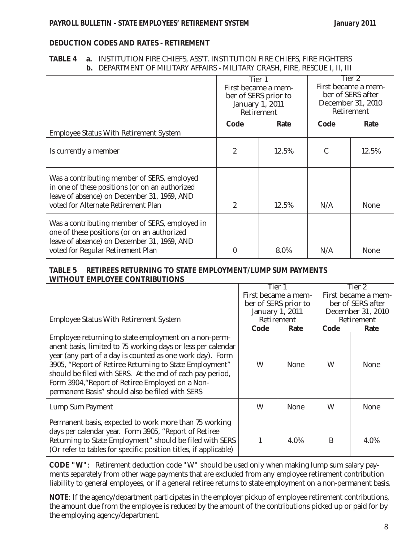#### **TABLE 4 a.** INSTITUTION FIRE CHIEFS, ASS'T. INSTITUTION FIRE CHIEFS, FIRE FIGHTERS **b.** DEPARTMENT OF MILITARY AFFAIRS - MILITARY CRASH, FIRE, RESCUE I, II, III

|                                                                                                                                                                                     | Tier 1<br>First became a mem-<br>ber of SERS prior to<br>January 1, 2011<br>Retirement |       | Tier 2<br>First became a mem-<br>ber of SERS after<br>December 31, 2010<br>Retirement<br>Code |       |
|-------------------------------------------------------------------------------------------------------------------------------------------------------------------------------------|----------------------------------------------------------------------------------------|-------|-----------------------------------------------------------------------------------------------|-------|
| <b>Employee Status With Retirement System</b>                                                                                                                                       | Code                                                                                   | Rate  |                                                                                               | Rate  |
| Is currently a member                                                                                                                                                               | $\boldsymbol{2}$                                                                       | 12.5% | C                                                                                             | 12.5% |
| Was a contributing member of SERS, employed<br>in one of these positions (or on an authorized<br>leave of absence) on December 31, 1969, AND<br>voted for Alternate Retirement Plan | $\overline{2}$                                                                         | 12.5% | N/A                                                                                           | None  |
| Was a contributing member of SERS, employed in<br>one of these positions (or on an authorized<br>leave of absence) on December 31, 1969, AND<br>voted for Regular Retirement Plan   | $\mathbf{0}$                                                                           | 8.0%  | N/A                                                                                           | None  |

#### **TABLE 5 RETIREES RETURNING TO STATE EMPLOYMENT/LUMP SUM PAYMENTS WITHOUT EMPLOYEE CONTRIBUTIONS**

|                                                                                                                                                                                                                                                                                                                                                                                                                   | Tier 1               |             | Tier 2              |             |
|-------------------------------------------------------------------------------------------------------------------------------------------------------------------------------------------------------------------------------------------------------------------------------------------------------------------------------------------------------------------------------------------------------------------|----------------------|-------------|---------------------|-------------|
|                                                                                                                                                                                                                                                                                                                                                                                                                   | First became a mem-  |             | First became a mem- |             |
|                                                                                                                                                                                                                                                                                                                                                                                                                   | ber of SERS prior to |             | ber of SERS after   |             |
|                                                                                                                                                                                                                                                                                                                                                                                                                   | January 1, 2011      |             | December 31, 2010   |             |
| <b>Employee Status With Retirement System</b>                                                                                                                                                                                                                                                                                                                                                                     | Retirement           |             |                     | Retirement  |
|                                                                                                                                                                                                                                                                                                                                                                                                                   | <b>Code</b>          | <u>Rate</u> | Code                | <u>Rate</u> |
| Employee returning to state employment on a non-perm-<br>anent basis, limited to 75 working days or less per calendar<br>year (any part of a day is counted as one work day). Form<br>3905, "Report of Retiree Returning to State Employment"<br>should be filed with SERS. At the end of each pay period,<br>Form 3904, "Report of Retiree Employed on a Non-<br>permanent Basis" should also be filed with SERS | W                    | None        | W                   | None        |
| Lump Sum Payment                                                                                                                                                                                                                                                                                                                                                                                                  | W                    | <b>None</b> | W                   | <b>None</b> |
| Permanent basis, expected to work more than 75 working<br>days per calendar year. Form 3905, "Report of Retiree<br>Returning to State Employment" should be filed with SERS<br>(Or refer to tables for specific position titles, if applicable)                                                                                                                                                                   |                      | 4.0%        | B                   | 4.0%        |

**CODE "W"**: Retirement deduction code "W" should be used only when making lump sum salary payments separately from other wage payments that are excluded from any employee retirement contribution liability to general employees, or if a general retiree returns to state employment on a non-permanent basis.

**NOTE**: If the agency/department participates in the employer pickup of employee retirement contributions, the amount due from the employee is reduced by the amount of the contributions picked up or paid for by the employing agency/department.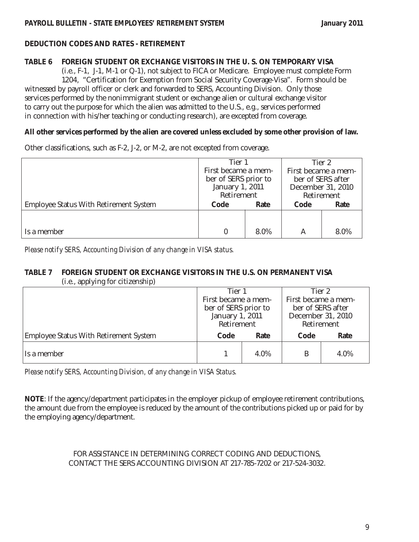#### **TABLE 6 FOREIGN STUDENT OR EXCHANGE VISITORS IN THE U. S. ON TEMPORARY VISA**

(i.e., F-1, J-1, M-1 or Q-1), not subject to FICA or Medicare. Employee must complete Form 1204, "Certification for Exemption from Social Security Coverage-Visa". Form should be

witnessed by payroll officer or clerk and forwarded to SERS, Accounting Division. Only those services performed by the nonimmigrant student or exchange alien or cultural exchange visitor to carry out the purpose for which the alien was admitted to the U.S., e.g., services performed in connection with his/her teaching or conducting research), are excepted from coverage.

#### **All other services performed by the alien are covered unless excluded by some other provision of law.**

Other classifications, such as F-2, J-2, or M-2, are not excepted from coverage.

|                                               | Tier 1               |                   | Tier 2              |      |
|-----------------------------------------------|----------------------|-------------------|---------------------|------|
|                                               | First became a mem-  |                   | First became a mem- |      |
|                                               | ber of SERS prior to | ber of SERS after |                     |      |
|                                               | January 1, 2011      |                   | December 31, 2010   |      |
|                                               | Retirement           |                   | Retirement          |      |
| <b>Employee Status With Retirement System</b> | Code<br>Rate         |                   | Code                | Rate |
|                                               |                      |                   |                     |      |
|                                               |                      |                   |                     |      |
| Is a member                                   |                      | 8.0%              | A                   | 8.0% |

*Please notify SERS, Accounting Division of any change in VISA status.*

#### **TABLE 7 FOREIGN STUDENT OR EXCHANGE VISITORS IN THE U.S. ON PERMANENT VISA** (i.e., applying for citizenship)

|                                               | Tier 1               |                     | Tier 2            |                     |  |
|-----------------------------------------------|----------------------|---------------------|-------------------|---------------------|--|
|                                               |                      | First became a mem- |                   | First became a mem- |  |
|                                               | ber of SERS prior to |                     | ber of SERS after |                     |  |
|                                               | January 1, 2011      |                     | December 31, 2010 |                     |  |
|                                               | Retirement           |                     | Retirement        |                     |  |
| <b>Employee Status With Retirement System</b> | Code<br>Rate         |                     | Code              | Rate                |  |
| 'Is a member                                  |                      | 4.0%                |                   | 4.0%                |  |

*Please notify SERS, Accounting Division, of any change in VISA Status.*

**NOTE**: If the agency/department participates in the employer pickup of employee retirement contributions, the amount due from the employee is reduced by the amount of the contributions picked up or paid for by the employing agency/department.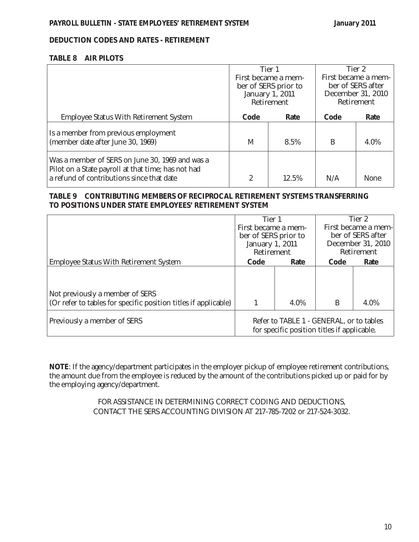#### **TABLE 8 AIR PILOTS**

|                                                                                                                                                    | Tier 1<br>First became a mem-<br>ber of SERS prior to<br>January 1, 2011<br>Retirement |       |      | Tier 2<br>First became a mem-<br>ber of SERS after<br>December 31, 2010<br>Retirement |
|----------------------------------------------------------------------------------------------------------------------------------------------------|----------------------------------------------------------------------------------------|-------|------|---------------------------------------------------------------------------------------|
| <b>Employee Status With Retirement System</b>                                                                                                      | Code                                                                                   | Rate  | Code | Rate                                                                                  |
| Is a member from previous employment<br>(member date after June 30, 1969)                                                                          | M                                                                                      | 8.5%  | B    | 4.0%                                                                                  |
| Was a member of SERS on June 30, 1969 and was a<br>Pilot on a State payroll at that time; has not had<br>a refund of contributions since that date | 2                                                                                      | 12.5% | N/A  | <b>None</b>                                                                           |

## **TABLE 9 CONTRIBUTING MEMBERS OF RECIPROCAL RETIREMENT SYSTEMS TRANSFERRING TO POSITIONS UNDER STATE EMPLOYEES' RETIREMENT SYSTEM**

|                                                                 | Tier 1<br>First became a mem-<br>ber of SERS prior to<br>January 1, 2011<br>Retirement |                                                                                         |      | Tier 2<br>First became a mem-<br>ber of SERS after<br>December 31, 2010<br>Retirement |
|-----------------------------------------------------------------|----------------------------------------------------------------------------------------|-----------------------------------------------------------------------------------------|------|---------------------------------------------------------------------------------------|
| <b>Employee Status With Retirement System</b>                   | Code                                                                                   | Rate                                                                                    | Code | Rate                                                                                  |
|                                                                 |                                                                                        |                                                                                         |      |                                                                                       |
| Not previously a member of SERS                                 |                                                                                        |                                                                                         |      |                                                                                       |
| (Or refer to tables for specific position titles if applicable) |                                                                                        | 4.0%                                                                                    | B    | 4.0%                                                                                  |
| Previously a member of SERS                                     |                                                                                        | Refer to TABLE 1 - GENERAL, or to tables<br>for specific position titles if applicable. |      |                                                                                       |

**NOTE**: If the agency/department participates in the employer pickup of employee retirement contributions, the amount due from the employee is reduced by the amount of the contributions picked up or paid for by the employing agency/department.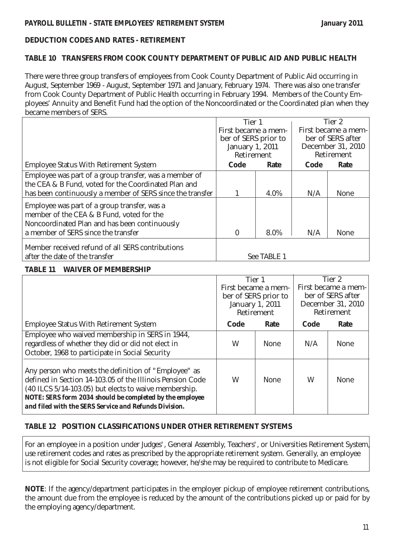## **TABLE 10 TRANSFERS FROM COOK COUNTY DEPARTMENT OF PUBLIC AID AND PUBLIC HEALTH**

There were three group transfers of employees from Cook County Department of Public Aid occurring in August, September 1969 - August, September 1971 and January, February 1974. There was also one transfer from Cook County Department of Public Health occurring in February 1994. Members of the County Employees' Annuity and Benefit Fund had the option of the Noncoordinated or the Coordinated plan when they became members of SERS.

|                                                           | Tier 1               |             |      | Tier 2              |
|-----------------------------------------------------------|----------------------|-------------|------|---------------------|
|                                                           | First became a mem-  |             |      | First became a mem- |
|                                                           | ber of SERS prior to |             |      | ber of SERS after   |
|                                                           | January 1, 2011      |             |      | December 31, 2010   |
|                                                           | Retirement           |             |      | Retirement          |
| <b>Employee Status With Retirement System</b>             | Code                 | Rate        | Code | Rate                |
| Employee was part of a group transfer, was a member of    |                      |             |      |                     |
| the CEA & B Fund, voted for the Coordinated Plan and      |                      |             |      |                     |
| has been continuously a member of SERS since the transfer |                      | 4.0%        | N/A  | <b>None</b>         |
| Employee was part of a group transfer, was a              |                      |             |      |                     |
| member of the CEA & B Fund, voted for the                 |                      |             |      |                     |
| Noncoordinated Plan and has been continuously             |                      |             |      |                     |
| a member of SERS since the transfer                       | $\bf{0}$             | 8.0%        | N/A  | <b>None</b>         |
| Member received refund of all SERS contributions          |                      |             |      |                     |
| after the date of the transfer                            |                      | See TABLE 1 |      |                     |

## **TABLE 11 WAIVER OF MEMBERSHIP**

|                                                                                                                                                                                                                                                                                                 | Tier 1          |                      |      | Tier 2              |
|-------------------------------------------------------------------------------------------------------------------------------------------------------------------------------------------------------------------------------------------------------------------------------------------------|-----------------|----------------------|------|---------------------|
|                                                                                                                                                                                                                                                                                                 |                 | First became a mem-  |      | First became a mem- |
|                                                                                                                                                                                                                                                                                                 |                 | ber of SERS prior to |      | ber of SERS after   |
|                                                                                                                                                                                                                                                                                                 | January 1, 2011 |                      |      | December 31, 2010   |
|                                                                                                                                                                                                                                                                                                 |                 | Retirement           |      | Retirement          |
| <b>Employee Status With Retirement System</b>                                                                                                                                                                                                                                                   | Code            | Rate                 | Code | Rate                |
| Employee who waived membership in SERS in 1944,                                                                                                                                                                                                                                                 |                 |                      |      |                     |
| regardless of whether they did or did not elect in                                                                                                                                                                                                                                              | W               | <b>None</b>          | N/A  | <b>None</b>         |
| October, 1968 to participate in Social Security                                                                                                                                                                                                                                                 |                 |                      |      |                     |
| Any person who meets the definition of "Employee" as<br>defined in Section 14-103.05 of the Illinois Pension Code<br>(40 ILCS 5/14-103.05) but elects to waive membership.<br>NOTE: SERS form 2034 should be completed by the employee<br>and filed with the SERS Service and Refunds Division. | W               | <b>None</b>          | W    | <b>None</b>         |

# **TABLE 12 POSITION CLASSIFICATIONS UNDER OTHER RETIREMENT SYSTEMS**

For an employee in a position under Judges', General Assembly, Teachers', or Universities Retirement System, use retirement codes and rates as prescribed by the appropriate retirement system. Generally, an employee is not eligible for Social Security coverage; however, he/she may be required to contribute to Medicare.

**NOTE:** If the agency/department participates in the employer pickup of employee retirement contributions, the amount due from the employee is reduced by the amount of the contributions picked up or paid for by the employing agency/department.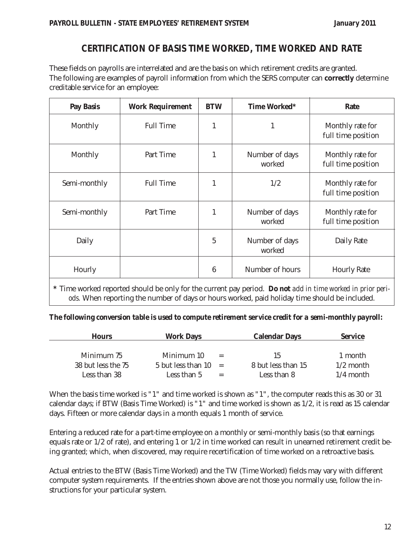# **CERTIFICATION OF BASIS TIME WORKED, TIME WORKED AND RATE**

These fields on payrolls are interrelated and are the basis on which retirement credits are granted. The following are examples of payroll information from which the SERS computer can **correctly** determine creditable service for an employee:

| <b>Pay Basis</b> | <b>Work Requirement</b> | <b>BTW</b>      | Time Worked*             | Rate                                   |
|------------------|-------------------------|-----------------|--------------------------|----------------------------------------|
| Monthly          | <b>Full Time</b>        | 1               | $\mathbf{1}$             | Monthly rate for<br>full time position |
| Monthly          | Part Time               | 1               | Number of days<br>worked | Monthly rate for<br>full time position |
| Semi-monthly     | <b>Full Time</b>        |                 | 1/2                      | Monthly rate for<br>full time position |
| Semi-monthly     | Part Time               | 1               | Number of days<br>worked | Monthly rate for<br>full time position |
| Daily            |                         | $\overline{5}$  | Number of days<br>worked | Daily Rate                             |
| Hourly           |                         | $6\phantom{1}6$ | Number of hours          | <b>Hourly Rate</b>                     |

**\*** Time worked reported should be only for the current pay period. *Do not add in time worked in prior periods.* When reporting the number of days or hours worked, paid holiday time should be included.

#### *The following conversion table is used to compute retirement service credit for a semi-monthly payroll:*

| <b>Hours</b>       | <b>Work Days</b>         |     | <b>Calendar Days</b> | <b>Service</b> |
|--------------------|--------------------------|-----|----------------------|----------------|
|                    |                          |     |                      |                |
| Minimum 75         | Minimum 10               | $=$ | 15                   | 1 month        |
| 38 but less the 75 | $5$ but less than $10 =$ |     | 8 but less than 15   | $1/2$ month    |
| Less than 38       | Less than 5              |     | Less than 8          | $1/4$ month    |

When the basis time worked is "1" and time worked is shown as "1", the computer reads this as 30 or 31 calendar days; if BTW (Basis Time Worked) is "1" and time worked is shown as 1/2, it is read as 15 calendar days. Fifteen or more calendar days in a month equals 1 month of service.

Entering a reduced rate for a part-time employee on a monthly or semi-monthly basis (so that earnings equals rate or 1/2 of rate), and entering 1 or 1/2 in time worked can result in unearned retirement credit being granted; which, when discovered, may require recertification of time worked on a retroactive basis.

Actual entries to the BTW (Basis Time Worked) and the TW (Time Worked) fields may vary with different computer system requirements. If the entries shown above are not those you normally use, follow the instructions for your particular system.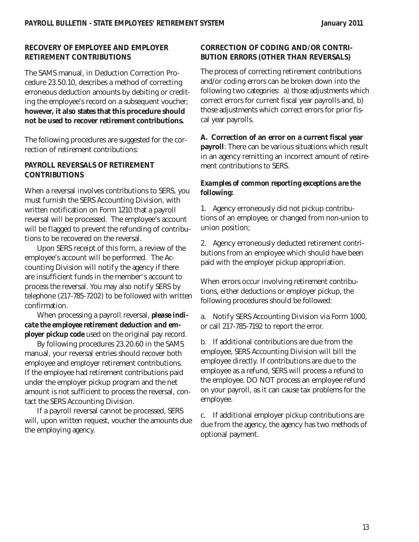# **RECOVERY OF EMPLOYEE AND EMPLOYER RETIREMENT CONTRIBUTIONS**

The SAMS manual, in Deduction Correction Procedure 23.50.10, describes a method of correcting erroneous deduction amounts by debiting or crediting the employee's record on a subsequent voucher; **however, it also states that this procedure should not be used to recover retirement contributions.** 

The following procedures are suggested for the correction of retirement contributions:

# **PAYROLL REVERSALS OF RETIREMENT CONTRIBUTIONS**

When a reversal involves contributions to SERS, you must furnish the SERS Accounting Division, with written notification on Form 1210 that a payroll reversal will be processed. The employee's account will be flagged to prevent the refunding of contributions to be recovered on the reversal.

Upon SERS receipt of this form, a review of the employee's account will be performed. The Accounting Division will notify the agency if there are insufficient funds in the member's account to process the reversal. You may also notify SERS by telephone (217-785-7202) to be followed with written confirmation.

When processing a payroll reversal, *please indicate the employee retirement deduction and employer pickup code* used on the original pay record.

By following procedures 23.20.60 in the SAMS manual, your reversal entries should recover both employee and employer retirement contributions. If the employee had retirement contributions paid under the employer pickup program and the net amount is not sufficient to process the reversal, contact the SERS Accounting Division.

If a payroll reversal cannot be processed, SERS will, upon written request, voucher the amounts due the employing agency.

# **CORRECTION OF CODING AND/OR CONTRI-BUTION ERRORS (OTHER THAN REVERSALS)**

The process of correcting retirement contributions and/or coding errors can be broken down into the following two categories: a) those adjustments which correct errors for current fiscal year payrolls and, b) those adjustments which correct errors for prior fiscal year payrolls.

**A. Correction of an error on a current fiscal year payroll**: There can be various situations which result in an agency remitting an incorrect amount of retirement contributions to SERS.

# *Examples of common reporting exceptions are the following:*

1. Agency erroneously did not pickup contributions of an employee, or changed from non-union to union position;

2. Agency erroneously deducted retirement contributions from an employee which should have been paid with the employer pickup appropriation.

When errors occur involving retirement contributions, either deductions or employer pickup, the following procedures should be followed:

a. Notify SERS Accounting Division via Form 1000, or call 217-785-7192 to report the error.

b. If additional contributions are due from the employee, SERS Accounting Division will bill the employee directly. If contributions are due to the employee as a refund, SERS will process a refund to the employee. DO NOT process an employee refund on your payroll, as it can cause tax problems for the employee.

c. If additional employer pickup contributions are due from the agency, the agency has two methods of optional payment.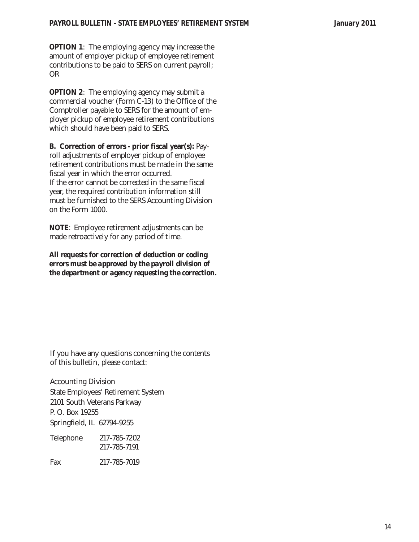**OPTION 1**: The employing agency may increase the amount of employer pickup of employee retirement contributions to be paid to SERS on current payroll; OR

**OPTION 2:** The employing agency may submit a commercial voucher (Form C-13) to the Office of the Comptroller payable to SERS for the amount of employer pickup of employee retirement contributions which should have been paid to SERS.

**B. Correction of errors - prior fiscal year(s):** Payroll adjustments of employer pickup of employee retirement contributions must be made in the same fiscal year in which the error occurred. If the error cannot be corrected in the same fiscal year, the required contribution information still must be furnished to the SERS Accounting Division on the Form 1000.

**NOTE**: Employee retirement adjustments can be made retroactively for any period of time.

*All requests for correction of deduction or coding errors must be approved by the payroll division of the department or agency requesting the correction.*

If you have any questions concerning the contents of this bulletin, please contact:

Accounting Division State Employees' Retirement System 2101 South Veterans Parkway P. O. Box 19255 Springfield, IL 62794-9255

Telephone 217-785-7202 217-785-7191 Fax 217-785-7019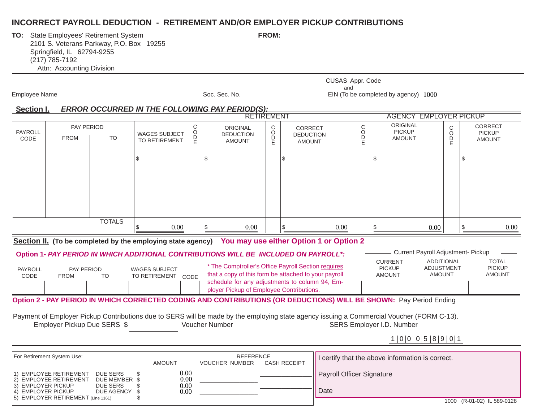# **INCORRECT PAYROLL DEDUCTION - RETIREMENT AND/OR EMPLOYER PICKUP CONTRIBUTIONS**

**TO:** State Employees' Retirement System **FROM:** FROM: 2101 S. Veterans Parkway, P.O. Box 19255 Springfield, IL 62794-9255 (217) 785-7192 Attn: Accounting Division

Employee Name **Soc. Sec. No.** Soc. Sec. No. EIN (To be completed by agency) 1000 CUSAS Appr. Code and

#### **Section I. ERROR OCCURRED IN THE FOLLOWING PAY PERIOD(S):**

|                                                                                  |                                                                                             |                                                                   |                                            |                  | RETIREMENT                                           |                  |                                                                                                                                                                                                                                                                                                                                                              |                                           | <b>AGENCY EMPLOYER PICKUP</b>                                                                                                                                                                                                                                                                                     |                                    |                                                  |
|----------------------------------------------------------------------------------|---------------------------------------------------------------------------------------------|-------------------------------------------------------------------|--------------------------------------------|------------------|------------------------------------------------------|------------------|--------------------------------------------------------------------------------------------------------------------------------------------------------------------------------------------------------------------------------------------------------------------------------------------------------------------------------------------------------------|-------------------------------------------|-------------------------------------------------------------------------------------------------------------------------------------------------------------------------------------------------------------------------------------------------------------------------------------------------------------------|------------------------------------|--------------------------------------------------|
| <b>PAYROLL</b><br>CODE                                                           | PAY PERIOD<br><b>FROM</b>                                                                   | TO                                                                | <b>WAGES SUBJECT</b><br>TO RETIREMENT      | С<br>O<br>D<br>Ē | <b>ORIGINAL</b><br><b>DEDUCTION</b><br><b>AMOUNT</b> | C<br>D<br>D<br>E | <b>CORRECT</b><br><b>DEDUCTION</b><br><b>AMOUNT</b>                                                                                                                                                                                                                                                                                                          | $\mathsf{C}$<br>$\circ$<br>$\overline{P}$ | ORIGINAL<br><b>PICKUP</b><br><b>AMOUNT</b>                                                                                                                                                                                                                                                                        | C<br>O<br>D<br>E                   | <b>CORRECT</b><br><b>PICKUP</b><br><b>AMOUNT</b> |
|                                                                                  |                                                                                             |                                                                   | \$                                         |                  | \$                                                   |                  | \$                                                                                                                                                                                                                                                                                                                                                           |                                           | \$.                                                                                                                                                                                                                                                                                                               |                                    | \$                                               |
|                                                                                  |                                                                                             | <b>TOTALS</b>                                                     | 0.00<br>\$                                 |                  | 0.00<br>\$                                           |                  | 0.00                                                                                                                                                                                                                                                                                                                                                         |                                           | 0.00                                                                                                                                                                                                                                                                                                              |                                    | 0.00<br>\$                                       |
| PAYROLL<br>CODE                                                                  | PAY PERIOD<br><b>FROM</b>                                                                   | <b>TO</b>                                                         | <b>WAGES SUBJECT</b><br>TO RETIREMENT CODE |                  | ployer Pickup of Employee Contributions.             |                  | Section II. (To be completed by the employing state agency) You may use either Option 1 or Option 2<br>Option 1- PAY PERIOD IN WHICH ADDITIONAL CONTRIBUTIONS WILL BE INCLUDED ON PAYROLL*:<br>* The Comptroller's Office Payroll Section requires<br>that a copy of this form be attached to your payroll<br>schedule for any adjustments to column 94, Em- |                                           | Current Payroll Adjustment- Pickup<br><b>CURRENT</b><br><b>PICKUP</b><br><b>ADJUSTMENT</b><br><b>AMOUNT</b>                                                                                                                                                                                                       | <b>ADDITIONAL</b><br><b>AMOUNT</b> | <b>TOTAL</b><br><b>PICKUP</b><br><b>AMOUNT</b>   |
|                                                                                  | Employer Pickup Due SERS \$                                                                 |                                                                   |                                            |                  | Voucher Number                                       |                  |                                                                                                                                                                                                                                                                                                                                                              |                                           | Option 2 - PAY PERIOD IN WHICH CORRECTED CODING AND CONTRIBUTIONS (OR DEDUCTIONS) WILL BE SHOWN: Pay Period Ending<br>Payment of Employer Pickup Contributions due to SERS will be made by the employing state agency issuing a Commercial Voucher (FORM C-13).<br>SERS Employer I.D. Number<br>1 0 0 0 5 8 9 0 1 |                                    |                                                  |
| For Retirement System Use:                                                       |                                                                                             |                                                                   | <b>AMOUNT</b>                              |                  | <b>REFERENCE</b><br><b>VOUCHER NUMBER</b>            |                  | <b>CASH RECEIPT</b>                                                                                                                                                                                                                                                                                                                                          |                                           | I certify that the above information is correct.                                                                                                                                                                                                                                                                  |                                    |                                                  |
| 2)<br><b>EMPLOYER PICKUP</b><br>3<br><b>EMPLOYER PICKUP</b><br>$ 4\rangle$<br>5) | <b>EMPLOYEE RETIREMENT</b><br><b>EMPLOYEE RETIREMENT</b><br>EMPLOYER RETIREMENT (Line 1161) | <b>DUE SERS</b><br>DUE MEMBER \$<br><b>DUE SERS</b><br>DUE AGENCY | 0.00<br>0.00<br>0.00<br>£<br>0.00          |                  |                                                      |                  | Payroll Officer Signature<br>Date                                                                                                                                                                                                                                                                                                                            |                                           |                                                                                                                                                                                                                                                                                                                   |                                    | 1000 (D 01 02) IL 500 0120                       |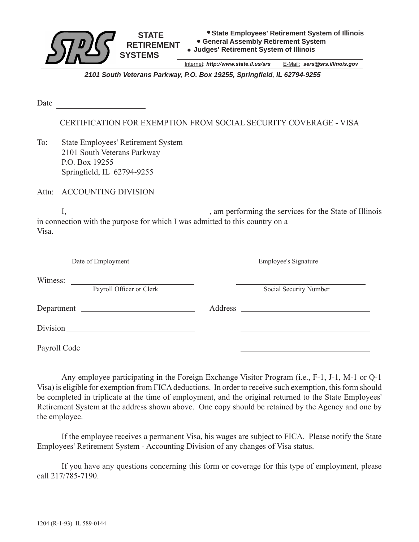

Internet: *http://www.state.il.us/srs* E-Mail: *sers@srs.illinois.gov*

*2101 South Veterans Parkway, P.O. Box 19255, Springfield, IL 62794-9255*

Date

CERTIFICATION FOR EXEMPTION FROM SOCIAL SECURITY COVERAGE - VISA

To: State Employees' Retirement System 2101 South Veterans Parkway P.O. Box 19255 Springfield, IL 62794-9255

Attn: ACCOUNTING DIVISION

 I, , am performing the services for the State of Illinois in connection with the purpose for which I was admitted to this country on a Visa.

| Date of Employment                                                                                                                                                                                                             | <b>Employee's Signature</b>                                         |  |
|--------------------------------------------------------------------------------------------------------------------------------------------------------------------------------------------------------------------------------|---------------------------------------------------------------------|--|
| Witness:<br>the control of the control of the control of the control of the control of<br>Payroll Officer or Clerk                                                                                                             | Social Security Number                                              |  |
| Department                                                                                                                                                                                                                     | Address<br><u> 1980 - Jan Stein, amerikansk politiker (d. 1980)</u> |  |
| Division historical contract of the contract of the contract of the contract of the contract of the contract of the contract of the contract of the contract of the contract of the contract of the contract of the contract o |                                                                     |  |
| Payroll Code                                                                                                                                                                                                                   |                                                                     |  |

 Any employee participating in the Foreign Exchange Visitor Program (i.e., F-1, J-1, M-1 or Q-1 Visa) is eligible for exemption from FICA deductions. In order to receive such exemption, this form should be completed in triplicate at the time of employment, and the original returned to the State Employees' Retirement System at the address shown above. One copy should be retained by the Agency and one by the employee.

 If the employee receives a permanent Visa, his wages are subject to FICA. Please notify the State Employees' Retirement System - Accounting Division of any changes of Visa status.

 If you have any questions concerning this form or coverage for this type of employment, please call 217/785-7190.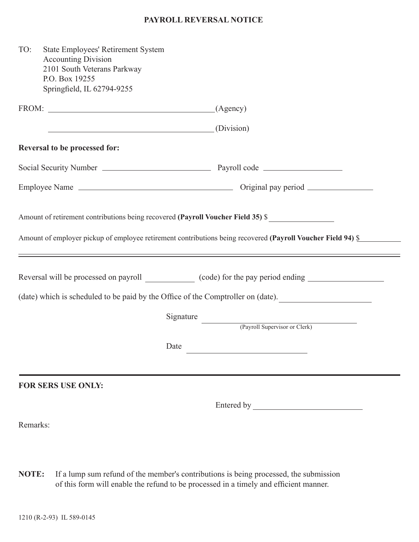# **PAYROLL REVERSAL NOTICE**

| TO:      | <b>State Employees' Retirement System</b><br><b>Accounting Division</b><br>2101 South Veterans Parkway<br>P.O. Box 19255<br>Springfield, IL 62794-9255 |                                                                                                      |  |
|----------|--------------------------------------------------------------------------------------------------------------------------------------------------------|------------------------------------------------------------------------------------------------------|--|
|          | $FROM:$ (Agency)                                                                                                                                       |                                                                                                      |  |
|          | <u> 1989 - Johann Barn, fransk politik (d. 1989)</u>                                                                                                   | (Division)                                                                                           |  |
|          | Reversal to be processed for:                                                                                                                          |                                                                                                      |  |
|          |                                                                                                                                                        |                                                                                                      |  |
|          |                                                                                                                                                        |                                                                                                      |  |
|          |                                                                                                                                                        | Reversal will be processed on payroll _______________ (code) for the pay period ending _____________ |  |
|          |                                                                                                                                                        | (date) which is scheduled to be paid by the Office of the Comptroller on (date).                     |  |
|          |                                                                                                                                                        | Signature<br>(Payroll Supervisor or Clerk)                                                           |  |
|          |                                                                                                                                                        | Date                                                                                                 |  |
|          | <b>FOR SERS USE ONLY:</b>                                                                                                                              |                                                                                                      |  |
|          |                                                                                                                                                        |                                                                                                      |  |
| Remarks: |                                                                                                                                                        |                                                                                                      |  |
|          |                                                                                                                                                        |                                                                                                      |  |

**NOTE:** If a lump sum refund of the member's contributions is being processed, the submission of this form will enable the refund to be processed in a timely and efficient manner.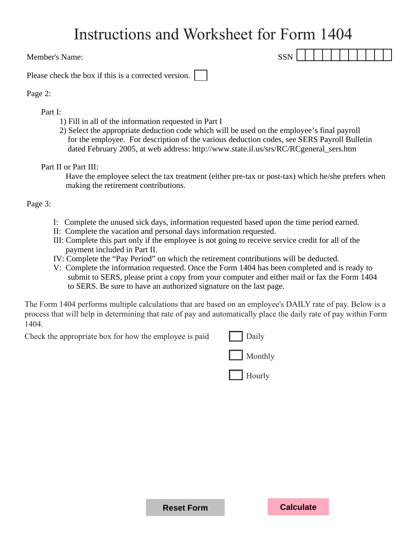# Instructions and Worksheet for Form 1404

Member's Name: SSN

Please check the box if this is a corrected version.

# Page 2:

# Part I:

- 1) Fill in all of the information requested in Part I
- 2) Select the appropriate deduction code which will be used on the employee's final payroll for the employee. For description of the various deduction codes, see SERS Payroll Bulletin dated February 2005, at web address: http://www.state.il.us/srs/RC/RCgeneral\_sers.htm

Part II or Part III:

 Have the employee select the tax treatment (either pre-tax or post-tax) which he/she prefers when making the retirement contributions.

Page 3:

- I: Complete the unused sick days, information requested based upon the time period earned.
- II: Complete the vacation and personal days information requested.
- III: Complete this part only if the employee is not going to receive service credit for all of the payment included in Part II.
- IV: Complete the "Pay Period" on which the retirement contributions will be deducted.
- V: Complete the information requested. Once the Form 1404 has been completed and is ready to submit to SERS, please print a copy from your computer and either mail or fax the Form 1404 to SERS. Be sure to have an authorized signature on the last page.

The Form 1404 performs multiple calculations that are based on an employee's DAILY rate of pay. Below is a process that will help in determining that rate of pay and automatically place the daily rate of pay within Form 1404.

Check the appropriate box for how the employee is paid  $\Box$  Daily



**Reset Form Calculate**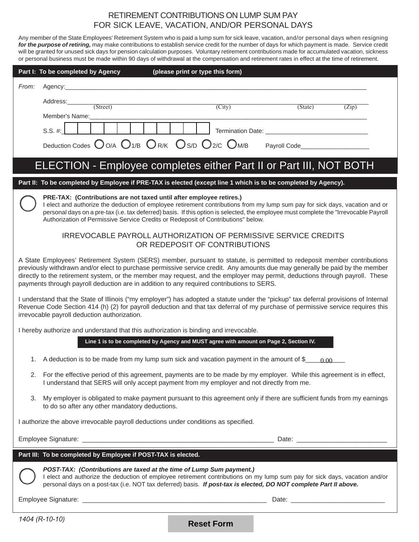# RETIREMENT CONTRIBUTIONS ON LUMP SUM PAY FOR SICK LEAVE, VACATION, AND/OR PERSONAL DAYS

Any member of the State Employees' Retirement System who is paid a lump sum for sick leave, vacation, and/or personal days when resigning *for the purpose of retiring,* may make contributions to establish service credit for the number of days for which payment is made. Service credit will be granted for unused sick days for pension calculation purposes. Voluntary retirement contributions made for accumulated vacation, sickness or personal business must be made within 90 days of withdrawal at the compensation and retirement rates in effect at the time of retirement.

|       | Part I: To be completed by Agency<br>(please print or type this form)                                                                                                                                                                                                                                                                                                                                                                                                                |        |         |       |
|-------|--------------------------------------------------------------------------------------------------------------------------------------------------------------------------------------------------------------------------------------------------------------------------------------------------------------------------------------------------------------------------------------------------------------------------------------------------------------------------------------|--------|---------|-------|
| From: |                                                                                                                                                                                                                                                                                                                                                                                                                                                                                      |        |         |       |
|       | Address:                                                                                                                                                                                                                                                                                                                                                                                                                                                                             |        |         |       |
|       | (Street)<br>Member's Name:                                                                                                                                                                                                                                                                                                                                                                                                                                                           | (City) | (State) | (Zip) |
|       | $S.S. \#:$                                                                                                                                                                                                                                                                                                                                                                                                                                                                           |        |         |       |
|       | Deduction Codes OO/A O1/B OR/K OS/D O2/C OM/B                                                                                                                                                                                                                                                                                                                                                                                                                                        |        |         |       |
|       |                                                                                                                                                                                                                                                                                                                                                                                                                                                                                      |        |         |       |
|       | ELECTION - Employee completes either Part II or Part III, NOT BOTH                                                                                                                                                                                                                                                                                                                                                                                                                   |        |         |       |
|       | Part II: To be completed by Employee if PRE-TAX is elected (except line 1 which is to be completed by Agency).                                                                                                                                                                                                                                                                                                                                                                       |        |         |       |
|       | PRE-TAX: (Contributions are not taxed until after employee retires.)<br>I elect and authorize the deduction of employee retirement contributions from my lump sum pay for sick days, vacation and or<br>personal days on a pre-tax (i.e. tax deferred) basis. If this option is selected, the employee must complete the "Irrevocable Payroll<br>Authorization of Permissive Service Credits or Redeposit of Contributions" below.                                                   |        |         |       |
|       | IRREVOCABLE PAYROLL AUTHORIZATION OF PERMISSIVE SERVICE CREDITS<br>OR REDEPOSIT OF CONTRIBUTIONS                                                                                                                                                                                                                                                                                                                                                                                     |        |         |       |
|       | A State Employees' Retirement System (SERS) member, pursuant to statute, is permitted to redeposit member contributions<br>previously withdrawn and/or elect to purchase permissive service credit. Any amounts due may generally be paid by the member<br>directly to the retirement system, or the member may request, and the employer may permit, deductions through payroll. These<br>payments through payroll deduction are in addition to any required contributions to SERS. |        |         |       |
|       | I understand that the State of Illinois ("my employer") has adopted a statute under the "pickup" tax deferral provisions of Internal<br>Revenue Code Section 414 (h) (2) for payroll deduction and that tax deferral of my purchase of permissive service requires this<br>irrevocable payroll deduction authorization.                                                                                                                                                              |        |         |       |
|       | I hereby authorize and understand that this authorization is binding and irrevocable.                                                                                                                                                                                                                                                                                                                                                                                                |        |         |       |
|       | Line 1 is to be completed by Agency and MUST agree with amount on Page 2, Section IV.                                                                                                                                                                                                                                                                                                                                                                                                |        |         |       |
| 1.    | A deduction is to be made from my lump sum sick and vacation payment in the amount of \$_                                                                                                                                                                                                                                                                                                                                                                                            |        | 0.00    |       |
| 2.    | For the effective period of this agreement, payments are to be made by my employer. While this agreement is in effect,<br>I understand that SERS will only accept payment from my employer and not directly from me.                                                                                                                                                                                                                                                                 |        |         |       |
| 3.    | My employer is obligated to make payment pursuant to this agreement only if there are sufficient funds from my earnings<br>to do so after any other mandatory deductions.                                                                                                                                                                                                                                                                                                            |        |         |       |
|       | I authorize the above irrevocable payroll deductions under conditions as specified.                                                                                                                                                                                                                                                                                                                                                                                                  |        |         |       |
|       |                                                                                                                                                                                                                                                                                                                                                                                                                                                                                      |        |         |       |
|       | Part III: To be completed by Employee if POST-TAX is elected.                                                                                                                                                                                                                                                                                                                                                                                                                        |        |         |       |
|       | POST-TAX: (Contributions are taxed at the time of Lump Sum payment.)<br>I elect and authorize the deduction of employee retirement contributions on my lump sum pay for sick days, vacation and/or<br>personal days on a post-tax (i.e. NOT tax deferred) basis. If post-tax is elected, DO NOT complete Part II above.                                                                                                                                                              |        |         |       |
|       |                                                                                                                                                                                                                                                                                                                                                                                                                                                                                      |        |         |       |

**Reset Form**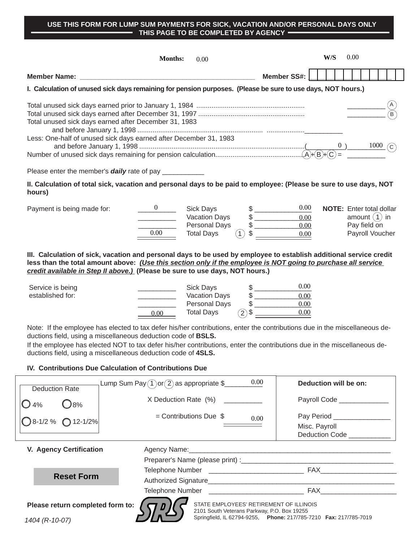#### **USE THIS FORM FOR LUMP SUM PAYMENTS FOR SICK, VACATION AND/OR PERSONAL DAYS ONLY THIS PAGE TO BE COMPLETED BY AGENCY**   $\overline{\phantom{0}}$

|                                      | <b>Months:</b><br>0.00                                                                                                                                                                                                                                                                                                                                                                                                                             |                                                                           | W/S                             | 0.00 |                                 |            |  |
|--------------------------------------|----------------------------------------------------------------------------------------------------------------------------------------------------------------------------------------------------------------------------------------------------------------------------------------------------------------------------------------------------------------------------------------------------------------------------------------------------|---------------------------------------------------------------------------|---------------------------------|------|---------------------------------|------------|--|
| <b>Member Name:</b>                  |                                                                                                                                                                                                                                                                                                                                                                                                                                                    | <b>Member SS#:</b>                                                        |                                 |      |                                 |            |  |
|                                      | I. Calculation of unused sick days remaining for pension purposes. (Please be sure to use days, NOT hours.)                                                                                                                                                                                                                                                                                                                                        |                                                                           |                                 |      |                                 |            |  |
|                                      | Total unused sick days earned after December 31, 1983<br>Less: One-half of unused sick days earned after December 31, 1983                                                                                                                                                                                                                                                                                                                         |                                                                           |                                 |      |                                 | $1000$ (c) |  |
|                                      |                                                                                                                                                                                                                                                                                                                                                                                                                                                    |                                                                           |                                 |      |                                 |            |  |
|                                      | Please enter the member's <b>daily</b> rate of pay _____________                                                                                                                                                                                                                                                                                                                                                                                   |                                                                           |                                 |      |                                 |            |  |
| hours)                               | II. Calculation of total sick, vacation and personal days to be paid to employee: (Please be sure to use days, NOT                                                                                                                                                                                                                                                                                                                                 |                                                                           |                                 |      |                                 |            |  |
| Payment is being made for:           | $\overline{0}$<br><b>Sick Days</b><br>Vacation Days<br><b>Personal Days</b>                                                                                                                                                                                                                                                                                                                                                                        | 0.00<br>0.00<br>$\frac{1}{2}$<br>0.00                                     | <b>NOTE:</b> Enter total dollar |      | amount $(1)$ in<br>Pay field on |            |  |
|                                      | $0.00\,$<br><b>Total Days</b><br>(1)                                                                                                                                                                                                                                                                                                                                                                                                               | $0.00\,$                                                                  |                                 |      | Payroll Voucher                 |            |  |
| Service is being<br>established for: | <b>Sick Days</b><br><b>Vacation Days</b>                                                                                                                                                                                                                                                                                                                                                                                                           | 0.00<br>$\frac{1}{2}$<br>0.00                                             |                                 |      |                                 |            |  |
|                                      | <b>Personal Days</b><br>$(2)$ \$<br><b>Total Days</b><br>0.00                                                                                                                                                                                                                                                                                                                                                                                      | 0.00<br>0.00                                                              |                                 |      |                                 |            |  |
|                                      | Note: If the employee has elected to tax defer his/her contributions, enter the contributions due in the miscellaneous de-<br>ductions field, using a miscellaneous deduction code of BSLS.<br>If the employee has elected NOT to tax defer his/her contributions, enter the contributions due in the miscellaneous de-<br>ductions field, using a miscellaneous deduction code of 4SLS.<br>IV. Contributions Due Calculation of Contributions Due |                                                                           |                                 |      |                                 |            |  |
| <b>Deduction Rate</b>                | 0.00<br>Lump Sum Pay $(1)$ or $(2)$ as appropriate \$                                                                                                                                                                                                                                                                                                                                                                                              | Deduction will be on:                                                     |                                 |      |                                 |            |  |
| <b>O</b> 8%<br>$\bigcup$ 4%          | X Deduction Rate (%)                                                                                                                                                                                                                                                                                                                                                                                                                               | Payroll Code ____________                                                 |                                 |      |                                 |            |  |
| $8 - 1/2$ %<br>$O$ 12-1/2%           | $=$ Contributions Due \$<br>0.00                                                                                                                                                                                                                                                                                                                                                                                                                   | Pay Period _______________<br>Misc. Payroll<br>Deduction Code ___________ |                                 |      |                                 |            |  |
| V. Agency Certification              | Agency Name:                                                                                                                                                                                                                                                                                                                                                                                                                                       |                                                                           |                                 |      |                                 |            |  |
|                                      |                                                                                                                                                                                                                                                                                                                                                                                                                                                    |                                                                           |                                 |      |                                 |            |  |
| <b>Reset Form</b>                    |                                                                                                                                                                                                                                                                                                                                                                                                                                                    |                                                                           |                                 |      |                                 |            |  |
|                                      | Authorized Cignoture                                                                                                                                                                                                                                                                                                                                                                                                                               |                                                                           |                                 |      |                                 |            |  |

Authorized Signature\_\_\_\_\_\_\_\_\_\_\_\_\_\_\_\_\_\_\_\_\_\_\_\_\_\_\_\_\_\_\_\_\_\_\_\_\_\_\_\_\_\_\_\_\_\_\_\_\_ Telephone Number \_\_\_\_\_\_\_\_\_\_\_\_\_\_\_\_\_\_\_\_\_\_\_\_\_ FAX\_\_\_\_\_\_\_\_\_\_\_\_\_\_\_\_\_\_\_\_

**Please return completed form to:**

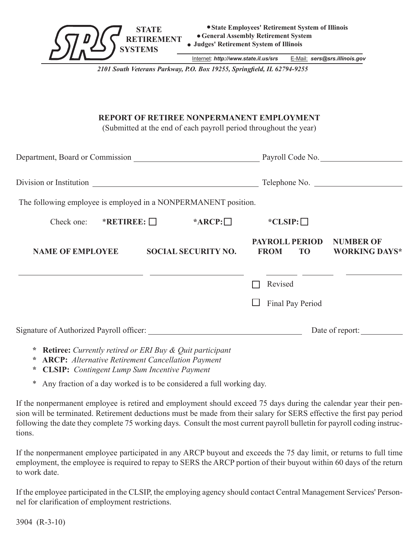

Internet: *http://www.state.il.us/srs* E-Mail: *sers@srs.illinois.gov*

*2101 South Veterans Parkway, P.O. Box 19255, Springfield, IL 62794-9255*

# **REPORT OF RETIREE NONPERMANENT EMPLOYMENT**

(Submitted at the end of each payroll period throughout the year)

|                                                                |                            |                  |                       |                  | Telephone No.                            |
|----------------------------------------------------------------|----------------------------|------------------|-----------------------|------------------|------------------------------------------|
| The following employee is employed in a NONPERMANENT position. |                            |                  |                       |                  |                                          |
| Check one: $*RETIMEE:$                                         |                            | $*$ ARCP: $\Box$ | $*CLSIP:$             |                  |                                          |
| <b>NAME OF EMPLOYEE</b>                                        | <b>SOCIAL SECURITY NO.</b> |                  | <b>PAYROLL PERIOD</b> | FROM TO          | <b>NUMBER OF</b><br><b>WORKING DAYS*</b> |
|                                                                |                            |                  | Revised               |                  |                                          |
|                                                                |                            |                  |                       | Final Pay Period |                                          |
|                                                                |                            |                  |                       |                  | Date of report:                          |

- **\* Retiree:** *Currently retired or ERI Buy & Quit participant*
- **\* ARCP:** *Alternative Retirement Cancellation Payment*
- **\* CLSIP:** *Contingent Lump Sum Incentive Payment*
- \* Any fraction of a day worked is to be considered a full working day.

If the nonpermanent employee is retired and employment should exceed 75 days during the calendar year their pension will be terminated. Retirement deductions must be made from their salary for SERS effective the first pay period following the date they complete 75 working days. Consult the most current payroll bulletin for payroll coding instructions.

If the nonpermanent employee participated in any ARCP buyout and exceeds the 75 day limit, or returns to full time employment, the employee is required to repay to SERS the ARCP portion of their buyout within 60 days of the return to work date.

If the employee participated in the CLSIP, the employing agency should contact Central Management Services' Personnel for clarification of employment restrictions.